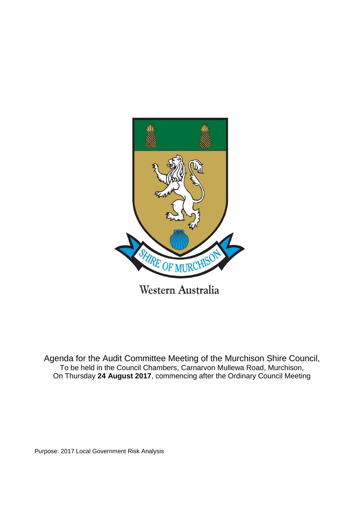

Agenda for the Audit Committee Meeting of the Murchison Shire Council, To be held in the Council Chambers, Carnarvon Mullewa Road, Murchison, On Thursday **24 August 2017**, commencing after the Ordinary Council Meeting

Purpose: 2017 Local Government Risk Analysis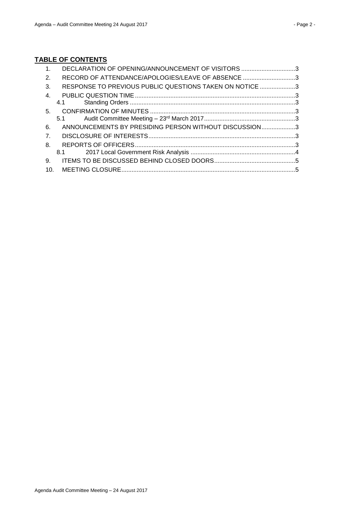# **TABLE OF CONTENTS**

| $\mathbf{1}$ . | DECLARATION OF OPENING/ANNOUNCEMENT OF VISITORS 3       |  |
|----------------|---------------------------------------------------------|--|
| 2.             | RECORD OF ATTENDANCE/APOLOGIES/LEAVE OF ABSENCE 3       |  |
| 3.             | RESPONSE TO PREVIOUS PUBLIC QUESTIONS TAKEN ON NOTICE 3 |  |
| $\mathbf{4}$ . |                                                         |  |
|                |                                                         |  |
|                |                                                         |  |
|                |                                                         |  |
| 6.             | ANNOUNCEMENTS BY PRESIDING PERSON WITHOUT DISCUSSION3   |  |
| 7 <sub>1</sub> |                                                         |  |
| 8.             |                                                         |  |
|                |                                                         |  |
| 9.             |                                                         |  |
|                |                                                         |  |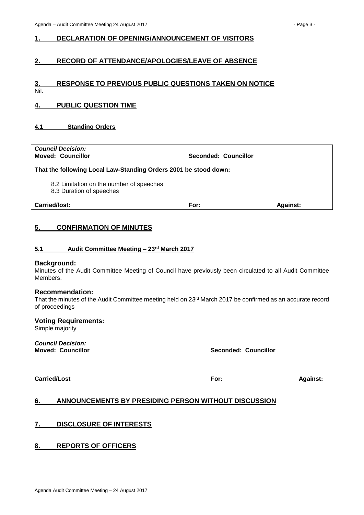#### <span id="page-2-0"></span>**1. DECLARATION OF OPENING/ANNOUNCEMENT OF VISITORS**

### <span id="page-2-1"></span>**2. RECORD OF ATTENDANCE/APOLOGIES/LEAVE OF ABSENCE**

## <span id="page-2-2"></span>**3. RESPONSE TO PREVIOUS PUBLIC QUESTIONS TAKEN ON NOTICE**

Nil.

## <span id="page-2-3"></span>**4. PUBLIC QUESTION TIME**

#### <span id="page-2-4"></span>**4.1 Standing Orders**

| <b>Council Decision:</b><br><b>Moved: Councillor</b>                 | <b>Seconded: Councillor</b> |                 |  |  |  |
|----------------------------------------------------------------------|-----------------------------|-----------------|--|--|--|
| That the following Local Law-Standing Orders 2001 be stood down:     |                             |                 |  |  |  |
| 8.2 Limitation on the number of speeches<br>8.3 Duration of speeches |                             |                 |  |  |  |
| <b>Carried/lost:</b>                                                 | For:                        | <b>Against:</b> |  |  |  |
|                                                                      |                             |                 |  |  |  |

### <span id="page-2-5"></span>**5. CONFIRMATION OF MINUTES**

#### <span id="page-2-6"></span>**5.1 Audit Committee Meeting – 23 rd March 2017**

#### **Background:**

Minutes of the Audit Committee Meeting of Council have previously been circulated to all Audit Committee Members.

#### **Recommendation:**

That the minutes of the Audit Committee meeting held on 23<sup>rd</sup> March 2017 be confirmed as an accurate record of proceedings

## **Voting Requirements:**

Simple majority

| <b>Council Decision:</b><br><b>Moved: Councillor</b> | Seconded: Councillor |                 |
|------------------------------------------------------|----------------------|-----------------|
|                                                      |                      |                 |
| <b>Carried/Lost</b>                                  | For:                 | <b>Against:</b> |

## <span id="page-2-7"></span>**6. ANNOUNCEMENTS BY PRESIDING PERSON WITHOUT DISCUSSION**

## <span id="page-2-8"></span>**7. DISCLOSURE OF INTERESTS**

#### <span id="page-2-9"></span>**8. REPORTS OF OFFICERS**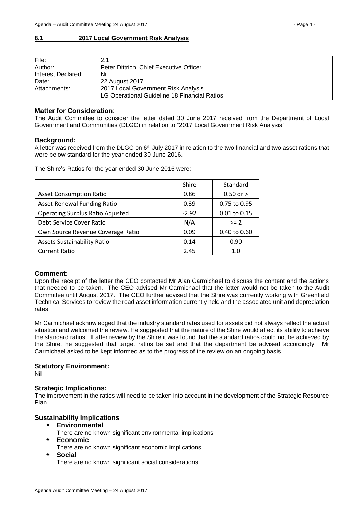#### <span id="page-3-0"></span>**8.1 2017 Local Government Risk Analysis**

| File:              | 2.1                                          |
|--------------------|----------------------------------------------|
| Author:            | Peter Dittrich, Chief Executive Officer      |
| Interest Declared: | Nil.                                         |
| Date:              | 22 August 2017                               |
| Attachments:       | 2017 Local Government Risk Analysis          |
|                    | LG Operational Guideline 18 Financial Ratios |

#### **Matter for Consideration**:

The Audit Committee to consider the letter dated 30 June 2017 received from the Department of Local Government and Communities (DLGC) in relation to "2017 Local Government Risk Analysis"

#### **Background:**

A letter was received from the DLGC on 6<sup>th</sup> July 2017 in relation to the two financial and two asset rations that were below standard for the year ended 30 June 2016.

The Shire's Ratios for the year ended 30 June 2016 were:

|                                         | Shire   | Standard                |
|-----------------------------------------|---------|-------------------------|
| <b>Asset Consumption Ratio</b>          | 0.86    | $0.50$ or $>$           |
| Asset Renewal Funding Ratio             | 0.39    | $0.75$ to $0.95$        |
| <b>Operating Surplus Ratio Adjusted</b> | $-2.92$ | $0.01$ to $0.15$        |
| Debt Service Cover Ratio                | N/A     | $>= 2$                  |
| Own Source Revenue Coverage Ratio       | 0.09    | $0.40 \text{ to } 0.60$ |
| <b>Assets Sustainability Ratio</b>      | 0.14    | 0.90                    |
| <b>Current Ratio</b>                    | 2.45    | 1.0                     |

#### **Comment:**

Upon the receipt of the letter the CEO contacted Mr Alan Carmichael to discuss the content and the actions that needed to be taken. The CEO advised Mr Carmichael that the letter would not be taken to the Audit Committee until August 2017. The CEO further advised that the Shire was currently working with Greenfield Technical Services to review the road asset information currently held and the associated unit and depreciation rates.

Mr Carmichael acknowledged that the industry standard rates used for assets did not always reflect the actual situation and welcomed the review. He suggested that the nature of the Shire would affect its ability to achieve the standard ratios. If after review by the Shire it was found that the standard ratios could not be achieved by the Shire, he suggested that target ratios be set and that the department be advised accordingly. Mr Carmichael asked to be kept informed as to the progress of the review on an ongoing basis.

## **Statutory Environment:**

Nil

#### **Strategic Implications:**

The improvement in the ratios will need to be taken into account in the development of the Strategic Resource Plan.

#### **Sustainability Implications**

- **Environmental**
	- There are no known significant environmental implications
- **Economic**
	- There are no known significant economic implications
- **Social**

There are no known significant social considerations.